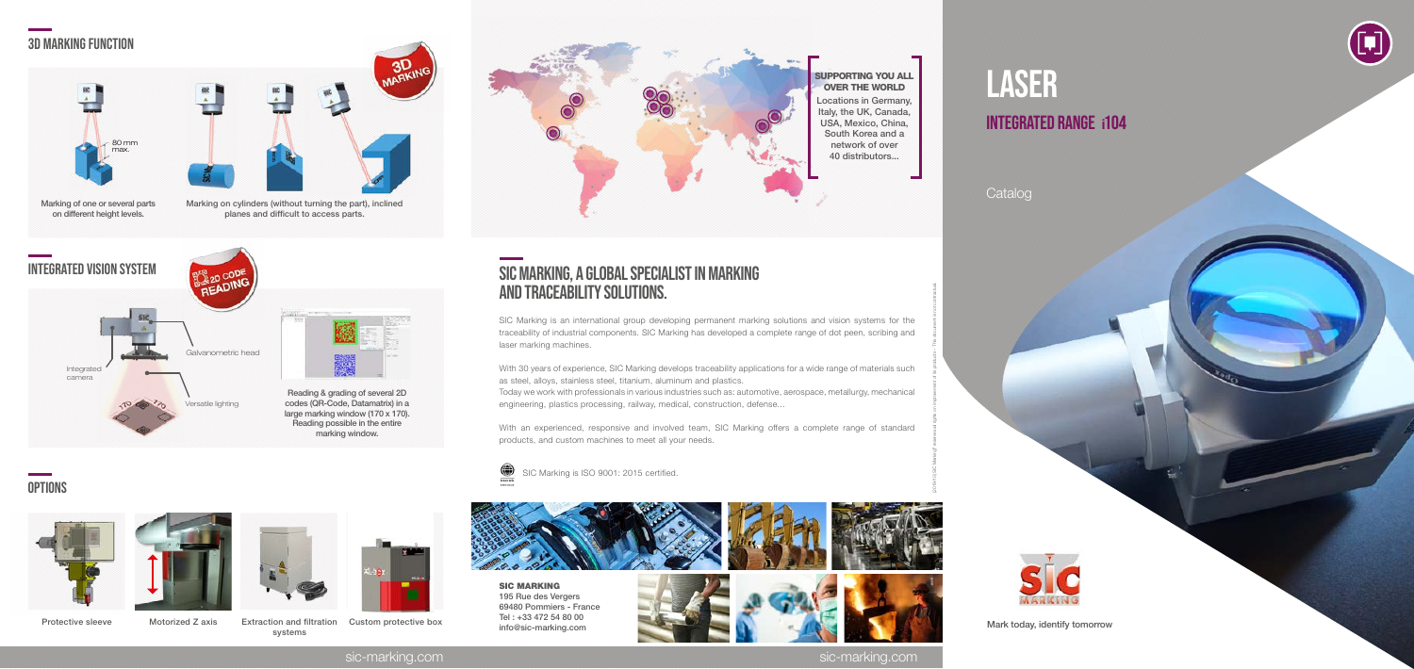sic-marking.com sic-marking.com







# SIC MARKING, a global specialist in marking and traceability solutions.

SIC Marking is an international group developing permanent marking solutions and vision systems for the traceability of industrial components. SIC Marking has developed a complete range of dot peen, scribing and laser marking machines.

# laser **INTEGRATED RANGE i104**

With 30 years of experience, SIC Marking develops traceability applications for a wide range of materials such as steel, alloys, stainless steel, titanium, aluminum and plastics. Today we work with professionals in various industries such as: automotive, aerospace, metallurgy, mechanical engineering, plastics processing, railway, medical, construction, defense...

With an experienced, responsive and involved team, SIC Marking offers a complete range of standard products, and custom machines to meet all your needs.



SIC Marking is ISO 9001: 2015 certified.

(2019/10) SIC Marking® reserves all rights on improvement of its products – This document is not contractual.



Protective sleeve Motorized Z axis Extraction and filtration systems



Custom protective box



### Catalog

Mark today, identify tomorrow



# 3d marking function



Marking of one or several parts on different height levels.



Marking on cylinders (without turning the part), inclined planes and difficult to access parts.



# **OPTIONS**







#### SUPPORTING YOU ALL OVER THE WORLD Locations in Germany,

Italy, the UK, Canada, USA, Mexico, China, South Korea and a network of over 40 distributors...